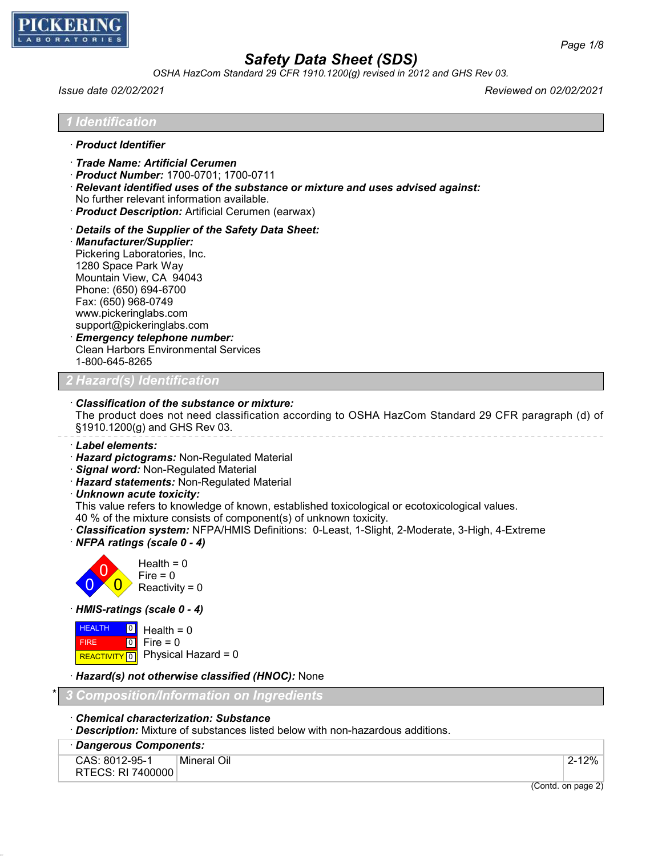

*OSHA HazCom Standard 29 CFR 1910.1200(g) revised in 2012 and GHS Rev 03.*

*Issue date 02/02/2021 Reviewed on 02/02/2021*

*1 Identification*

- · *Product Identifier*
- · *Trade Name: Artificial Cerumen*
- · *Product Number:* 1700-0701; 1700-0711
- · *Relevant identified uses of the substance or mixture and uses advised against:*
- No further relevant information available.
- · *Product Description:* Artificial Cerumen (earwax)
- · *Details of the Supplier of the Safety Data Sheet:*
- · *Manufacturer/Supplier:* Pickering Laboratories, Inc. 1280 Space Park Way Mountain View, CA 94043 Phone: (650) 694-6700 Fax: (650) 968-0749 www.pickeringlabs.com support@pickeringlabs.com · *Emergency telephone number:* Clean Harbors Environmental Services 1-800-645-8265

## *2 Hazard(s) Identification*

#### · *Classification of the substance or mixture:*

The product does not need classification according to OSHA HazCom Standard 29 CFR paragraph (d) of §1910.1200(g) and GHS Rev 03.

· *Label elements:*

- · *Hazard pictograms:* Non-Regulated Material
- · *Signal word:* Non-Regulated Material
- · *Hazard statements:* Non-Regulated Material
- · *Unknown acute toxicity:*

This value refers to knowledge of known, established toxicological or ecotoxicological values.

- 40 % of the mixture consists of component(s) of unknown toxicity.
- · *Classification system:* NFPA/HMIS Definitions: 0-Least, 1-Slight, 2-Moderate, 3-High, 4-Extreme
- · *NFPA ratings (scale 0 4)*



· *HMIS-ratings (scale 0 - 4)*

**HEALTH**  FIRE REACTIVITY  $\boxed{0}$  Physical Hazard = 0  $\boxed{0}$  $\overline{10}$ Health  $= 0$  $Fire = 0$ 

· *Hazard(s) not otherwise classified (HNOC):* None

\* *3 Composition/Information on Ingredients*

- · *Chemical characterization: Substance*
- · *Description:* Mixture of substances listed below with non-hazardous additions.
- · *Dangerous Components:*

```
CAS: 8012-95-1
RTECS: RI 7400000
        Mineral Oil 2-12%
```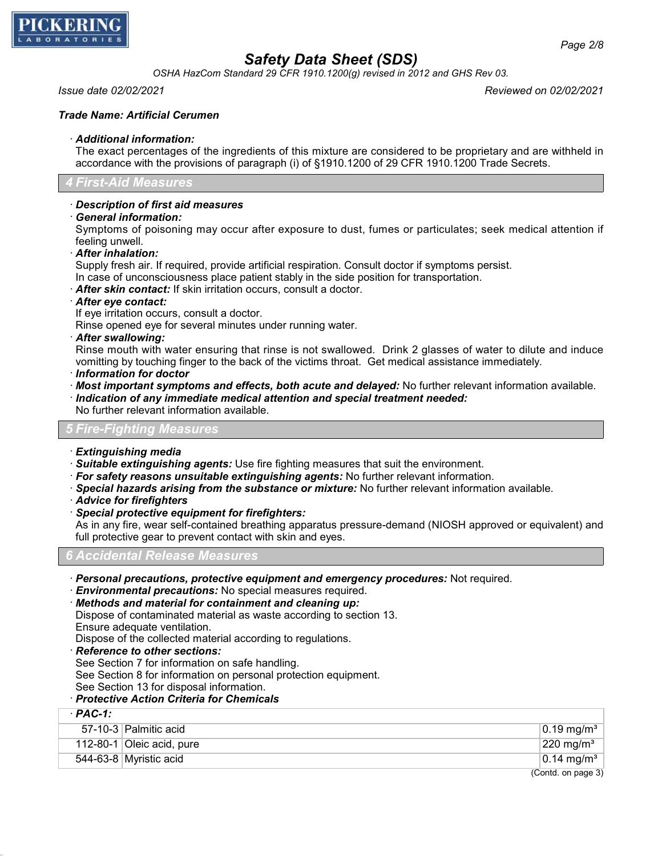

*OSHA HazCom Standard 29 CFR 1910.1200(g) revised in 2012 and GHS Rev 03.*

## *Issue date 02/02/2021 Reviewed on 02/02/2021*

### *Trade Name: Artificial Cerumen*

#### · *Additional information:*

The exact percentages of the ingredients of this mixture are considered to be proprietary and are withheld in accordance with the provisions of paragraph (i) of §1910.1200 of 29 CFR 1910.1200 Trade Secrets.

#### *4 First-Aid Measures*

### · *Description of first aid measures*

· *General information:*

Symptoms of poisoning may occur after exposure to dust, fumes or particulates; seek medical attention if feeling unwell.

· *After inhalation:*

Supply fresh air. If required, provide artificial respiration. Consult doctor if symptoms persist.

In case of unconsciousness place patient stably in the side position for transportation.

· *After skin contact:* If skin irritation occurs, consult a doctor.

- · *After eye contact:*
- If eye irritation occurs, consult a doctor.

Rinse opened eye for several minutes under running water.

· *After swallowing:*

Rinse mouth with water ensuring that rinse is not swallowed. Drink 2 glasses of water to dilute and induce vomitting by touching finger to the back of the victims throat. Get medical assistance immediately.

- · *Information for doctor*
- · *Most important symptoms and effects, both acute and delayed:* No further relevant information available.
- · *Indication of any immediate medical attention and special treatment needed:*
- No further relevant information available.

#### *5 Fire-Fighting Measures*

- · *Extinguishing media*
- · *Suitable extinguishing agents:* Use fire fighting measures that suit the environment.
- · *For safety reasons unsuitable extinguishing agents:* No further relevant information.
- · *Special hazards arising from the substance or mixture:* No further relevant information available.
- · *Advice for firefighters*
- · *Special protective equipment for firefighters:*

As in any fire, wear self-contained breathing apparatus pressure-demand (NIOSH approved or equivalent) and full protective gear to prevent contact with skin and eyes.

*6 Accidental Release Measures*

· *Personal precautions, protective equipment and emergency procedures:* Not required.

· *Environmental precautions:* No special measures required.

· *Methods and material for containment and cleaning up:*

Dispose of contaminated material as waste according to section 13.

Ensure adequate ventilation.

Dispose of the collected material according to regulations.

· *Reference to other sections:*

· *PAC-1:*

See Section 7 for information on safe handling.

See Section 8 for information on personal protection equipment.

See Section 13 for disposal information.

### · *Protective Action Criteria for Chemicals*

| · PAC-1: |                           |                                   |
|----------|---------------------------|-----------------------------------|
|          | 57-10-3 Palmitic acid     | $\vert$ 0.19 mg/m <sup>3</sup>    |
|          | 112-80-1 Oleic acid, pure | $ 220 \text{ mg/m}^3 $            |
|          | 544-63-8 Myristic acid    | $\vert 0.14 \text{ mg/m}^3 \vert$ |
|          |                           | $(Contd)$ on page 3)              |

(Contd. on page 3)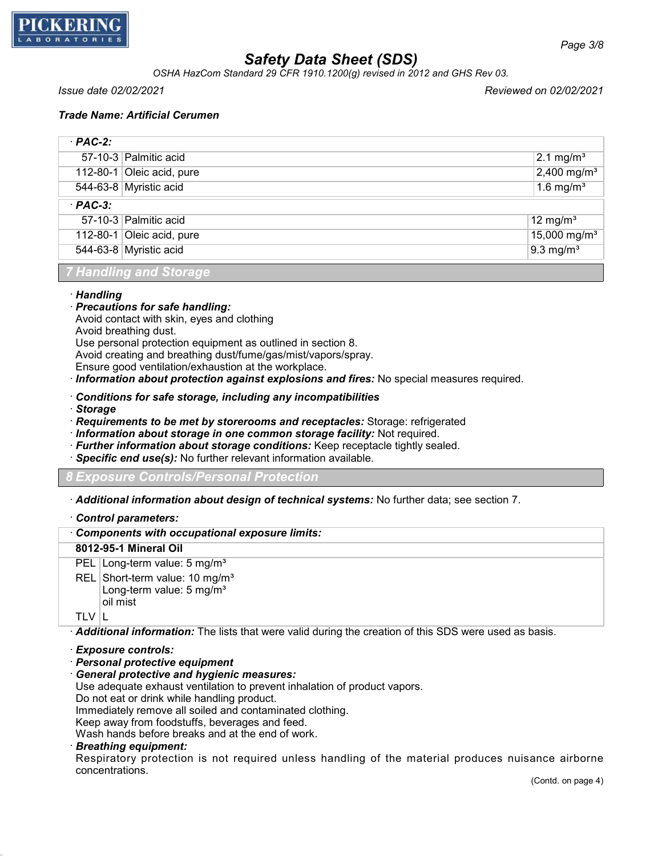

*OSHA HazCom Standard 29 CFR 1910.1200(g) revised in 2012 and GHS Rev 03.*

*Issue date 02/02/2021 Reviewed on 02/02/2021*

### *Trade Name: Artificial Cerumen*

| $·$ PAC-2: |                           |                          |
|------------|---------------------------|--------------------------|
|            | 57-10-3 Palmitic acid     | $2.1 \text{ mg/m}^3$     |
|            | 112-80-1 Oleic acid, pure | 2,400 mg/m <sup>3</sup>  |
|            | 544-63-8 Myristic acid    | 1.6 mg/ $m3$             |
| $·$ PAC-3: |                           |                          |
|            | 57-10-3 Palmitic acid     | 12 mg/m <sup>3</sup>     |
|            | 112-80-1 Oleic acid, pure | 15,000 mg/m <sup>3</sup> |
|            | 544-63-8 Myristic acid    | $9.3 \text{ mg/m}^3$     |

*7 Handling and Storage*

#### · *Handling*

- · *Precautions for safe handling:*
- Avoid contact with skin, eyes and clothing
- Avoid breathing dust.

Use personal protection equipment as outlined in section 8.

Avoid creating and breathing dust/fume/gas/mist/vapors/spray.

Ensure good ventilation/exhaustion at the workplace.

- · *Information about protection against explosions and fires:* No special measures required.
- · *Conditions for safe storage, including any incompatibilities*
- · *Storage*
- · *Requirements to be met by storerooms and receptacles:* Storage: refrigerated
- · *Information about storage in one common storage facility:* Not required.
- · *Further information about storage conditions:* Keep receptacle tightly sealed.
- · *Specific end use(s):* No further relevant information available.

*8 Exposure Controls/Personal Protection*

· *Additional information about design of technical systems:* No further data; see section 7.

· *Control parameters:*

### · *Components with occupational exposure limits:*

### **8012-95-1 Mineral Oil**

PEL Long-term value: 5 mg/m<sup>3</sup>

REL Short-term value: 10 mg/m<sup>3</sup> Long-term value: 5 mg/m<sup>3</sup> oil mist

TLV  $\parallel$ 

· *Additional information:* The lists that were valid during the creation of this SDS were used as basis.

### · *Exposure controls:*

- · *Personal protective equipment*
- · *General protective and hygienic measures:*

Use adequate exhaust ventilation to prevent inhalation of product vapors.

Do not eat or drink while handling product.

Immediately remove all soiled and contaminated clothing.

Keep away from foodstuffs, beverages and feed.

Wash hands before breaks and at the end of work.

#### · *Breathing equipment:*

Respiratory protection is not required unless handling of the material produces nuisance airborne concentrations.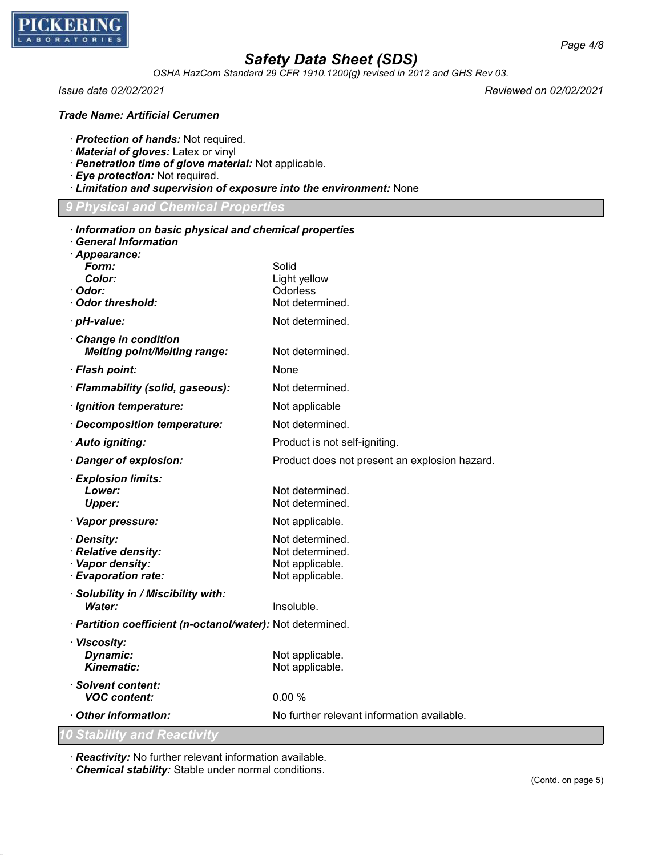

*OSHA HazCom Standard 29 CFR 1910.1200(g) revised in 2012 and GHS Rev 03.*

*Issue date 02/02/2021 Reviewed on 02/02/2021*

### *Trade Name: Artificial Cerumen*

· *Protection of hands:* Not required.

- · *Material of gloves:* Latex or vinyl
- · *Penetration time of glove material:* Not applicable.
- · *Eye protection:* Not required.
- · *Limitation and supervision of exposure into the environment:* None

|  | <b>9 Physical and Chemical Properties</b> |  |  |  |
|--|-------------------------------------------|--|--|--|
|  |                                           |  |  |  |

| Information on basic physical and chemical properties<br><b>General Information</b> |                                               |  |  |  |
|-------------------------------------------------------------------------------------|-----------------------------------------------|--|--|--|
| · Appearance:                                                                       |                                               |  |  |  |
| Form:                                                                               | Solid                                         |  |  |  |
| Color:                                                                              | Light yellow                                  |  |  |  |
| · Odor:                                                                             | Odorless                                      |  |  |  |
| · Odor threshold:                                                                   | Not determined.                               |  |  |  |
| · pH-value:                                                                         | Not determined.                               |  |  |  |
| Change in condition<br><b>Melting point/Melting range:</b>                          | Not determined.                               |  |  |  |
| · Flash point:                                                                      | None                                          |  |  |  |
| · Flammability (solid, gaseous):                                                    | Not determined.                               |  |  |  |
| · Ignition temperature:                                                             | Not applicable                                |  |  |  |
| · Decomposition temperature:                                                        | Not determined.                               |  |  |  |
| · Auto igniting:                                                                    | Product is not self-igniting.                 |  |  |  |
| · Danger of explosion:                                                              | Product does not present an explosion hazard. |  |  |  |
| · Explosion limits:                                                                 |                                               |  |  |  |
| Lower:                                                                              | Not determined.                               |  |  |  |
| <b>Upper:</b>                                                                       | Not determined.                               |  |  |  |
| · Vapor pressure:                                                                   | Not applicable.                               |  |  |  |
| · Density:                                                                          | Not determined.                               |  |  |  |
| · Relative density:                                                                 | Not determined.                               |  |  |  |
| · Vapor density:<br>· Evaporation rate:                                             | Not applicable.<br>Not applicable.            |  |  |  |
| · Solubility in / Miscibility with:                                                 |                                               |  |  |  |
| Water:                                                                              | Insoluble.                                    |  |  |  |
| · Partition coefficient (n-octanol/water): Not determined.                          |                                               |  |  |  |
| · Viscosity:                                                                        |                                               |  |  |  |
| Dynamic:                                                                            | Not applicable.                               |  |  |  |
| <b>Kinematic:</b>                                                                   | Not applicable.                               |  |  |  |
| · Solvent content:<br><b>VOC</b> content:                                           | 0.00%                                         |  |  |  |
| Other information:                                                                  | No further relevant information available.    |  |  |  |
| <b>10 Stability and Reactivity</b>                                                  |                                               |  |  |  |

· *Reactivity:* No further relevant information available.

· *Chemical stability:* Stable under normal conditions.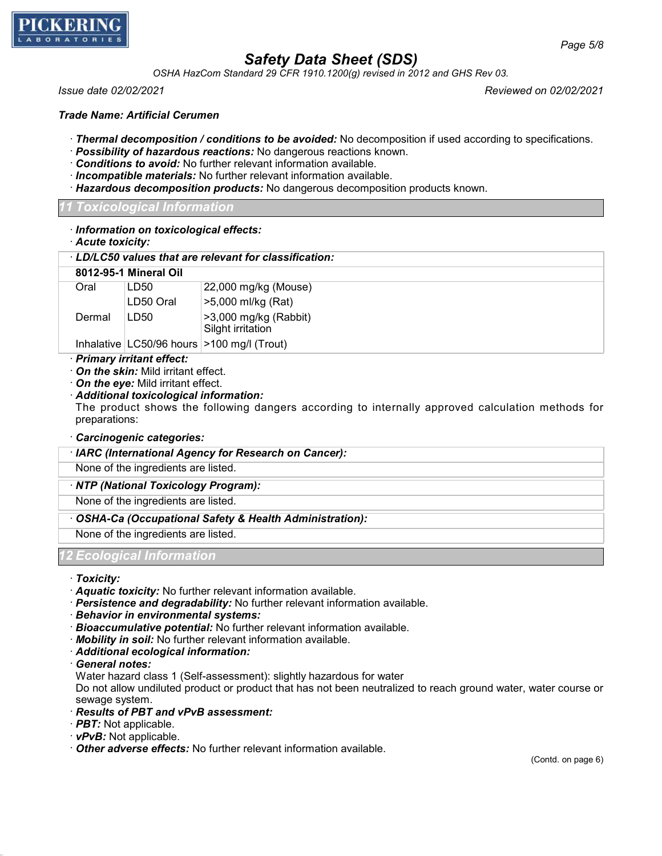

*OSHA HazCom Standard 29 CFR 1910.1200(g) revised in 2012 and GHS Rev 03.*

*Issue date 02/02/2021 Reviewed on 02/02/2021*

*Trade Name: Artificial Cerumen*

- · *Thermal decomposition / conditions to be avoided:* No decomposition if used according to specifications.
- · *Possibility of hazardous reactions:* No dangerous reactions known.
- · *Conditions to avoid:* No further relevant information available.
- · *Incompatible materials:* No further relevant information available.
- · *Hazardous decomposition products:* No dangerous decomposition products known.

## *11 Toxicological Information*

- · *Information on toxicological effects:*
- · *Acute toxicity:*

### · *LD/LC50 values that are relevant for classification:*

|        | 8012-95-1 Mineral Oil |                                                    |
|--------|-----------------------|----------------------------------------------------|
| Oral   | LD50                  | 22,000 mg/kg (Mouse)                               |
|        | LD50 Oral             | >5,000 ml/kg (Rat)                                 |
| Dermal | LD50                  | $\geq$ 3,000 mg/kg (Rabbit)                        |
|        |                       | Silght irritation                                  |
|        |                       | Inhalative $ $ LC50/96 hours $ $ >100 mg/l (Trout) |

### · *Primary irritant effect:*

· *On the skin:* Mild irritant effect.

· *On the eye:* Mild irritant effect.

### · *Additional toxicological information:*

The product shows the following dangers according to internally approved calculation methods for preparations:

- · *Carcinogenic categories:*
- · *IARC (International Agency for Research on Cancer):*

None of the ingredients are listed.

## · *NTP (National Toxicology Program):*

None of the ingredients are listed.

## · *OSHA-Ca (Occupational Safety & Health Administration):*

None of the ingredients are listed.

## *12 Ecological Information*

· *Toxicity:*

- · *Aquatic toxicity:* No further relevant information available.
- · *Persistence and degradability:* No further relevant information available.
- · *Behavior in environmental systems:*
- · *Bioaccumulative potential:* No further relevant information available.
- · *Mobility in soil:* No further relevant information available.
- · *Additional ecological information:*

· *General notes:*

Water hazard class 1 (Self-assessment): slightly hazardous for water

Do not allow undiluted product or product that has not been neutralized to reach ground water, water course or sewage system.

- · *Results of PBT and vPvB assessment:*
- · *PBT:* Not applicable.
- · *vPvB:* Not applicable.

· *Other adverse effects:* No further relevant information available.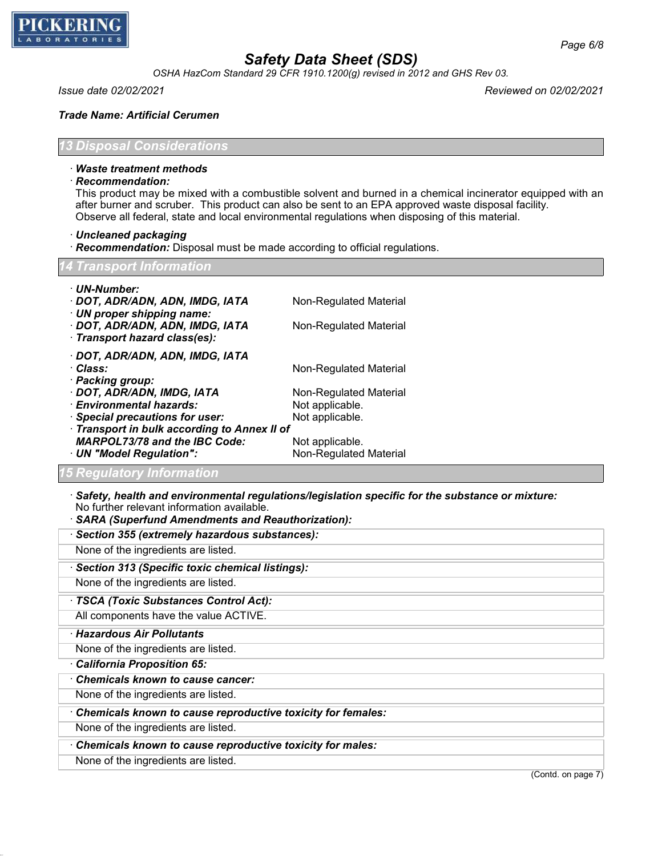

*OSHA HazCom Standard 29 CFR 1910.1200(g) revised in 2012 and GHS Rev 03.*

*Page 6/8*

#### *Trade Name: Artificial Cerumen*

*13 Disposal Considerations*

## · *Waste treatment methods*

· *Recommendation:*

This product may be mixed with a combustible solvent and burned in a chemical incinerator equipped with an after burner and scruber. This product can also be sent to an EPA approved waste disposal facility. Observe all federal, state and local environmental regulations when disposing of this material.

- · *Uncleaned packaging*
- · *Recommendation:* Disposal must be made according to official regulations.

| <b>14 Transport Information</b> |  |
|---------------------------------|--|
|                                 |  |

| · UN-Number:                                                  |                        |
|---------------------------------------------------------------|------------------------|
| · DOT, ADR/ADN, ADN, IMDG, IATA                               | Non-Regulated Material |
| · UN proper shipping name:<br>· DOT, ADR/ADN, ADN, IMDG, IATA | Non-Regulated Material |
| · Transport hazard class(es):                                 |                        |
| · DOT, ADR/ADN, ADN, IMDG, IATA                               |                        |
| · Class:                                                      | Non-Regulated Material |
| · Packing group:                                              |                        |
| · DOT, ADR/ADN, IMDG, IATA                                    | Non-Regulated Material |
| · Environmental hazards:                                      | Not applicable.        |
| · Special precautions for user:                               | Not applicable.        |
| · Transport in bulk according to Annex II of                  |                        |
| <b>MARPOL73/78 and the IBC Code:</b>                          | Not applicable.        |
| · UN "Model Regulation":                                      | Non-Regulated Material |
| 15 Regulatory Information                                     |                        |

- · *Safety, health and environmental regulations/legislation specific for the substance or mixture:* No further relevant information available.
- · *SARA (Superfund Amendments and Reauthorization):*
- · *Section 355 (extremely hazardous substances):*

None of the ingredients are listed.

· *Section 313 (Specific toxic chemical listings):*

None of the ingredients are listed.

· *TSCA (Toxic Substances Control Act):*

All components have the value ACTIVE.

· *Hazardous Air Pollutants*

None of the ingredients are listed.

· *California Proposition 65:*

· *Chemicals known to cause cancer:*

None of the ingredients are listed.

· *Chemicals known to cause reproductive toxicity for females:*

None of the ingredients are listed.

· *Chemicals known to cause reproductive toxicity for males:*

None of the ingredients are listed.

(Contd. on page 7)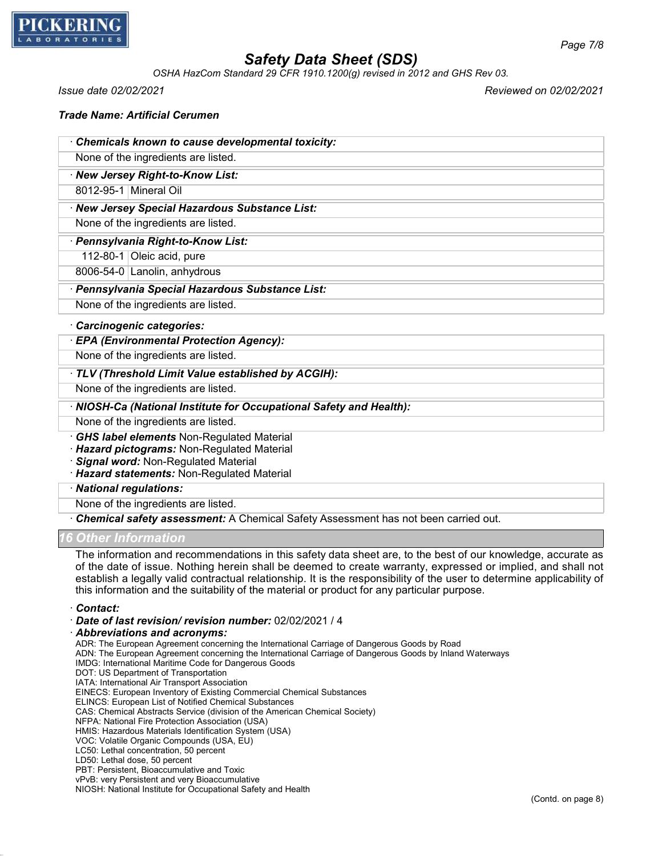

*OSHA HazCom Standard 29 CFR 1910.1200(g) revised in 2012 and GHS Rev 03.*

*Issue date 02/02/2021 Reviewed on 02/02/2021*

| <b>Trade Name: Artificial Cerumen</b> |  |  |
|---------------------------------------|--|--|
|---------------------------------------|--|--|

| Chemicals known to cause developmental toxicity: |  |
|--------------------------------------------------|--|
| None of the ingredients are listed.              |  |
| · New Jersey Right-to-Know List:                 |  |
| 8012-95-1 Mineral Oil                            |  |
| · New Jersey Special Hazardous Substance List:   |  |
| None of the ingredients are listed.              |  |
| · Pennsylvania Right-to-Know List:               |  |
| 112-80-1 Oleic acid, pure                        |  |
| 8006-54-0 Lanolin, anhydrous                     |  |
| · Pennsylvania Special Hazardous Substance List: |  |
| None of the ingredients are listed.              |  |
| Carcinogenic categories:                         |  |
|                                                  |  |

#### · *EPA (Environmental Protection Agency):*

None of the ingredients are listed.

### · *TLV (Threshold Limit Value established by ACGIH):*

None of the ingredients are listed.

### · *NIOSH-Ca (National Institute for Occupational Safety and Health):*

None of the ingredients are listed.

· *GHS label elements* Non-Regulated Material

· *Hazard pictograms:* Non-Regulated Material

· *Signal word:* Non-Regulated Material

· *Hazard statements:* Non-Regulated Material

· *National regulations:*

None of the ingredients are listed.

· *Chemical safety assessment:* A Chemical Safety Assessment has not been carried out.

### *16 Other Information*

The information and recommendations in this safety data sheet are, to the best of our knowledge, accurate as of the date of issue. Nothing herein shall be deemed to create warranty, expressed or implied, and shall not establish a legally valid contractual relationship. It is the responsibility of the user to determine applicability of this information and the suitability of the material or product for any particular purpose.

· *Contact:*

· *Date of last revision/ revision number:* 02/02/2021 / 4

· *Abbreviations and acronyms:*

ADR: The European Agreement concerning the International Carriage of Dangerous Goods by Road

ADN: The European Agreement concerning the International Carriage of Dangerous Goods by Inland Waterways

IMDG: International Maritime Code for Dangerous Goods

DOT: US Department of Transportation

IATA: International Air Transport Association EINECS: European Inventory of Existing Commercial Chemical Substances

ELINCS: European List of Notified Chemical Substances

CAS: Chemical Abstracts Service (division of the American Chemical Society)

NFPA: National Fire Protection Association (USA)

HMIS: Hazardous Materials Identification System (USA)

- VOC: Volatile Organic Compounds (USA, EU)
- LC50: Lethal concentration, 50 percent
- LD50: Lethal dose, 50 percent

PBT: Persistent, Bioaccumulative and Toxic

vPvB: very Persistent and very Bioaccumulative NIOSH: National Institute for Occupational Safety and Health